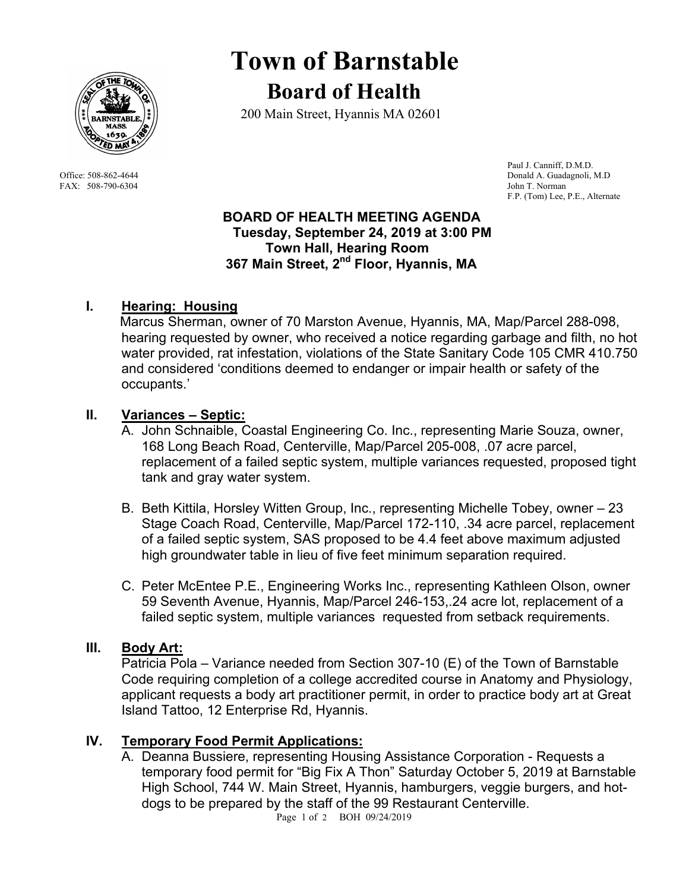

FAX: 508-790-6304 John T. Norman

# **Town of Barnstable Board of Health**

200 Main Street, Hyannis MA 02601

 Paul J. Canniff, D.M.D. Office: 508-862-4644 Donald A. Guadagnoli, M.D F.P. (Tom) Lee, P.E., Alternate

#### **BOARD OF HEALTH MEETING AGENDA Tuesday, September 24, 2019 at 3:00 PM Town Hall, Hearing Room 367 Main Street, 2nd Floor, Hyannis, MA**

# **I. Hearing: Housing**

 Marcus Sherman, owner of 70 Marston Avenue, Hyannis, MA, Map/Parcel 288-098, hearing requested by owner, who received a notice regarding garbage and filth, no hot water provided, rat infestation, violations of the State Sanitary Code 105 CMR 410.750 and considered 'conditions deemed to endanger or impair health or safety of the occupants.'

### **II. Variances – Septic:**

- A. John Schnaible, Coastal Engineering Co. Inc., representing Marie Souza, owner, 168 Long Beach Road, Centerville, Map/Parcel 205-008, .07 acre parcel, replacement of a failed septic system, multiple variances requested, proposed tight tank and gray water system.
- B. Beth Kittila, Horsley Witten Group, Inc., representing Michelle Tobey, owner 23 Stage Coach Road, Centerville, Map/Parcel 172-110, .34 acre parcel, replacement of a failed septic system, SAS proposed to be 4.4 feet above maximum adjusted high groundwater table in lieu of five feet minimum separation required.
- C. Peter McEntee P.E., Engineering Works Inc., representing Kathleen Olson, owner 59 Seventh Avenue, Hyannis, Map/Parcel 246-153,.24 acre lot, replacement of a failed septic system, multiple variances requested from setback requirements.

#### **III. Body Art:**

Patricia Pola – Variance needed from Section 307-10 (E) of the Town of Barnstable Code requiring completion of a college accredited course in Anatomy and Physiology, applicant requests a body art practitioner permit, in order to practice body art at Great Island Tattoo, 12 Enterprise Rd, Hyannis.

## **IV. Temporary Food Permit Applications:**

A. Deanna Bussiere, representing Housing Assistance Corporation - Requests a temporary food permit for "Big Fix A Thon" Saturday October 5, 2019 at Barnstable High School, 744 W. Main Street, Hyannis, hamburgers, veggie burgers, and hotdogs to be prepared by the staff of the 99 Restaurant Centerville.

Page 1 of 2 BOH 09/24/2019